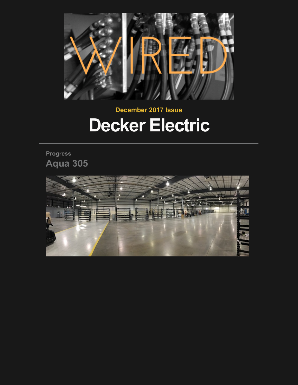

# **December 2017 Issue Decker Electric**

**Progress Aqua 305**

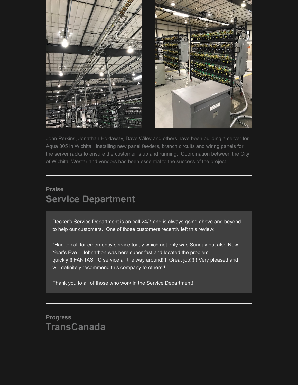

John Perkins, Jonathan Holdaway, Dave Wiley and others have been building a server for Aqua 305 in Wichita. Installing new panel feeders, branch circuits and wiring panels for the server racks to ensure the customer is up and running. Coordination between the City of Wichita, Westar and vendors has been essential to the success of the project.

#### **Praise Service Department**

Decker's Service Department is on call 24/7 and is always going above and beyond to help our customers. One of those customers recently left this review;

"Had to call for emergency service today which not only was Sunday but also New Year's Eve....Johnathon was here super fast and located the problem quickly!!! FANTASTIC service all the way around!!!! Great job!!!!! Very pleased and will definitely recommend this company to others!!!"

Thank you to all of those who work in the Service Department!

## **Progress TransCanada**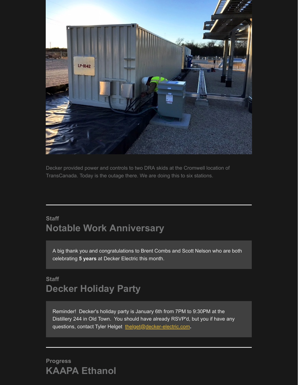

Decker provided power and controls to two DRA skids at the Cromwell location of TransCanada. Today is the outage there. We are doing this to six stations.

## **Staff Notable Work Anniversary**

A big thank you and congratulations to Brent Combs and Scott Nelson who are both celebrating **5 years** at Decker Electric this month.

## **Staff Decker Holiday Party**

Reminder! Decker's holiday party is January 6th from 7PM to 9:30PM at the Distillery 244 in Old Town. You should have already RSVP'd, but you if have any questions, contact Tyler Helget [thelget@decker-electric.com](mailto:thelget@decker-electric.com)**.**

#### **Progress KAAPA Ethanol**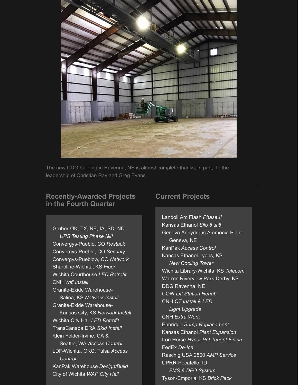

The new DDG building in Ravenna, NE is almost complete thanks, in part, to the leadership of Christian Ray and Greg Evans.

#### **Recently-Awarded Projects in the Fourth Quarter**

Gruber-OK, TX, NE, IA, SD, ND *UPS Testing Phase I&II* Convergys-Pueblo, CO *Restack* Convergys-Pueblo, CO *Security* Convergys-Pueblow, CO *Network* Sharpline-Wichita, KS *Fiber* Wichita Courthouse *LED Retrofit* CNH *Wifi Install* Granite-Exide Warehouse- Salina, KS *Network Install* Granite-Exide Warehouse- Kansas City, KS *Network Install* Wichita City Hall *LED Retrofit* TransCanada DRA *Skid Install* Klein Felder-Irvine, CA & Seattle, WA *Access Control* LDF-Wichita, OKC, Tulsa *Access Control* KanPak Warehouse *Design/Build* City of Wichita *WAP City Hall*

#### **Current Projects**

Landoll Arc Flash *Phase II* Kansas Ethanol *Silo 5 & 6* Geneva Anhydrous Ammonia Plant- Geneva, NE KanPak *Access Control* Kansas Ethanol-Lyons, KS *New Cooling Tower* Wichita Library-Wichita, KS *Telecom* Warren Riverview Park-Derby, KS DDG Ravenna, NE COW *Lift Station Rehab* CNH *CT Install & LED Light Upgrade* CNH *Extra Work* Enbridge *Sump Replacement* Kansas Ethanol *Plant Expansion* Iron Horse *Hyper Pet Tenant Finish* FedEx *De-Ice* Raschig USA 2500 *AMP Service* UPRR-Pocatello, ID *FMS & DFO System* Tyson-Emporia, KS *Brick Pack*